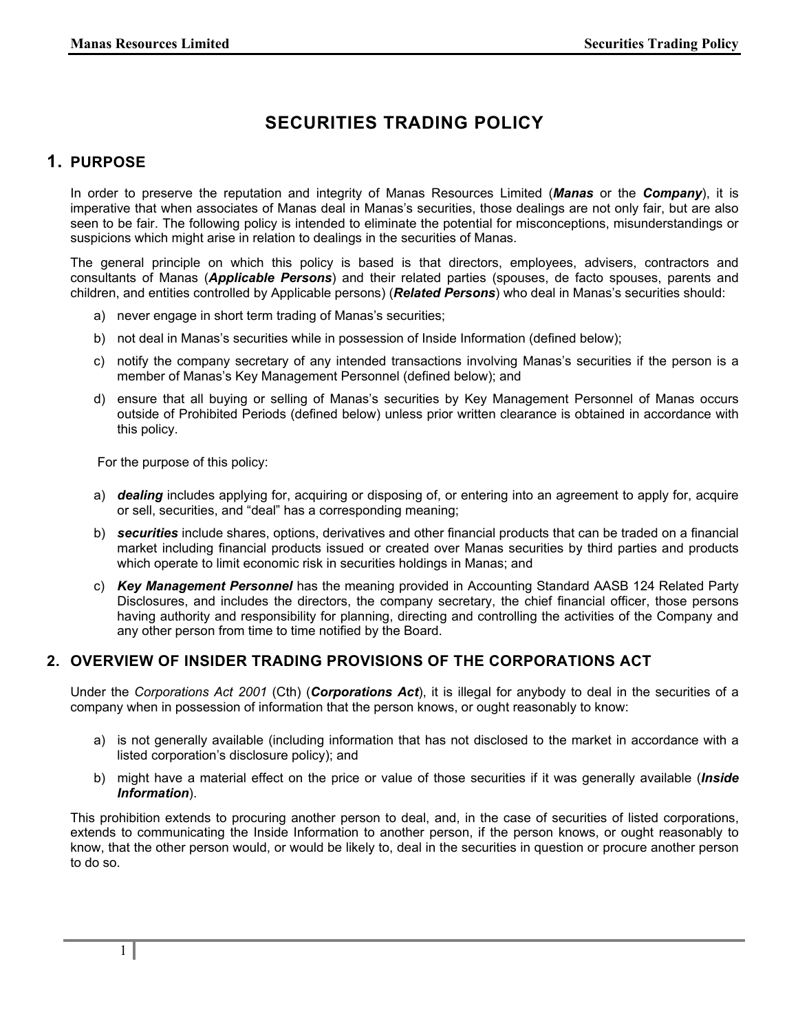# **SECURITIES TRADING POLICY**

# **1. PURPOSE**

In order to preserve the reputation and integrity of Manas Resources Limited (*Manas* or the *Company*), it is imperative that when associates of Manas deal in Manas's securities, those dealings are not only fair, but are also seen to be fair. The following policy is intended to eliminate the potential for misconceptions, misunderstandings or suspicions which might arise in relation to dealings in the securities of Manas.

The general principle on which this policy is based is that directors, employees, advisers, contractors and consultants of Manas (*Applicable Persons*) and their related parties (spouses, de facto spouses, parents and children, and entities controlled by Applicable persons) (*Related Persons*) who deal in Manas's securities should:

- a) never engage in short term trading of Manas's securities;
- b) not deal in Manas's securities while in possession of Inside Information (defined below);
- c) notify the company secretary of any intended transactions involving Manas's securities if the person is a member of Manas's Key Management Personnel (defined below); and
- d) ensure that all buying or selling of Manas's securities by Key Management Personnel of Manas occurs outside of Prohibited Periods (defined below) unless prior written clearance is obtained in accordance with this policy.

For the purpose of this policy:

- a) *dealing* includes applying for, acquiring or disposing of, or entering into an agreement to apply for, acquire or sell, securities, and "deal" has a corresponding meaning;
- b) *securities* include shares, options, derivatives and other financial products that can be traded on a financial market including financial products issued or created over Manas securities by third parties and products which operate to limit economic risk in securities holdings in Manas; and
- c) *Key Management Personnel* has the meaning provided in Accounting Standard AASB 124 Related Party Disclosures, and includes the directors, the company secretary, the chief financial officer, those persons having authority and responsibility for planning, directing and controlling the activities of the Company and any other person from time to time notified by the Board.

# **2. OVERVIEW OF INSIDER TRADING PROVISIONS OF THE CORPORATIONS ACT**

Under the *Corporations Act 2001* (Cth) (*Corporations Act*), it is illegal for anybody to deal in the securities of a company when in possession of information that the person knows, or ought reasonably to know:

- a) is not generally available (including information that has not disclosed to the market in accordance with a listed corporation's disclosure policy); and
- b) might have a material effect on the price or value of those securities if it was generally available (*Inside Information*).

This prohibition extends to procuring another person to deal, and, in the case of securities of listed corporations, extends to communicating the Inside Information to another person, if the person knows, or ought reasonably to know, that the other person would, or would be likely to, deal in the securities in question or procure another person to do so.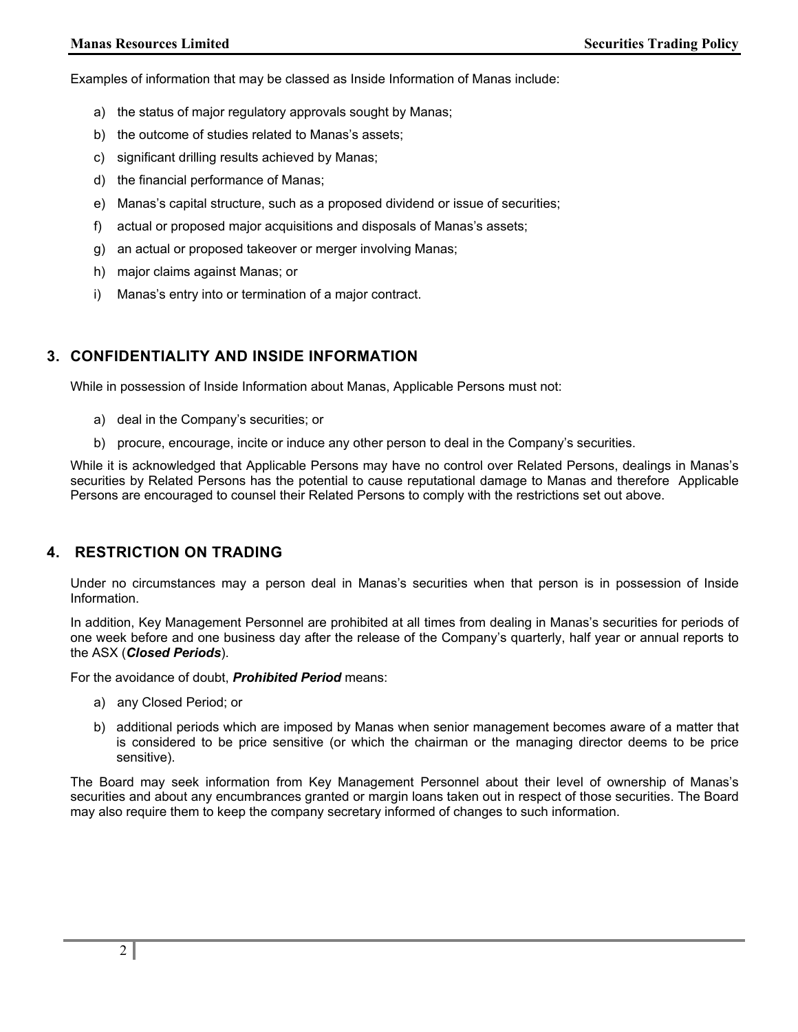Examples of information that may be classed as Inside Information of Manas include:

- a) the status of major regulatory approvals sought by Manas;
- b) the outcome of studies related to Manas's assets;
- c) significant drilling results achieved by Manas;
- d) the financial performance of Manas;
- e) Manas's capital structure, such as a proposed dividend or issue of securities;
- f) actual or proposed major acquisitions and disposals of Manas's assets;
- g) an actual or proposed takeover or merger involving Manas;
- h) major claims against Manas; or
- i) Manas's entry into or termination of a major contract.

# **3. CONFIDENTIALITY AND INSIDE INFORMATION**

While in possession of Inside Information about Manas, Applicable Persons must not:

- a) deal in the Company's securities; or
- b) procure, encourage, incite or induce any other person to deal in the Company's securities.

While it is acknowledged that Applicable Persons may have no control over Related Persons, dealings in Manas's securities by Related Persons has the potential to cause reputational damage to Manas and therefore Applicable Persons are encouraged to counsel their Related Persons to comply with the restrictions set out above.

#### **4. RESTRICTION ON TRADING**

Under no circumstances may a person deal in Manas's securities when that person is in possession of Inside Information.

In addition, Key Management Personnel are prohibited at all times from dealing in Manas's securities for periods of one week before and one business day after the release of the Company's quarterly, half year or annual reports to the ASX (*Closed Periods*).

For the avoidance of doubt, *Prohibited Period* means:

- a) any Closed Period; or
- b) additional periods which are imposed by Manas when senior management becomes aware of a matter that is considered to be price sensitive (or which the chairman or the managing director deems to be price sensitive).

The Board may seek information from Key Management Personnel about their level of ownership of Manas's securities and about any encumbrances granted or margin loans taken out in respect of those securities. The Board may also require them to keep the company secretary informed of changes to such information.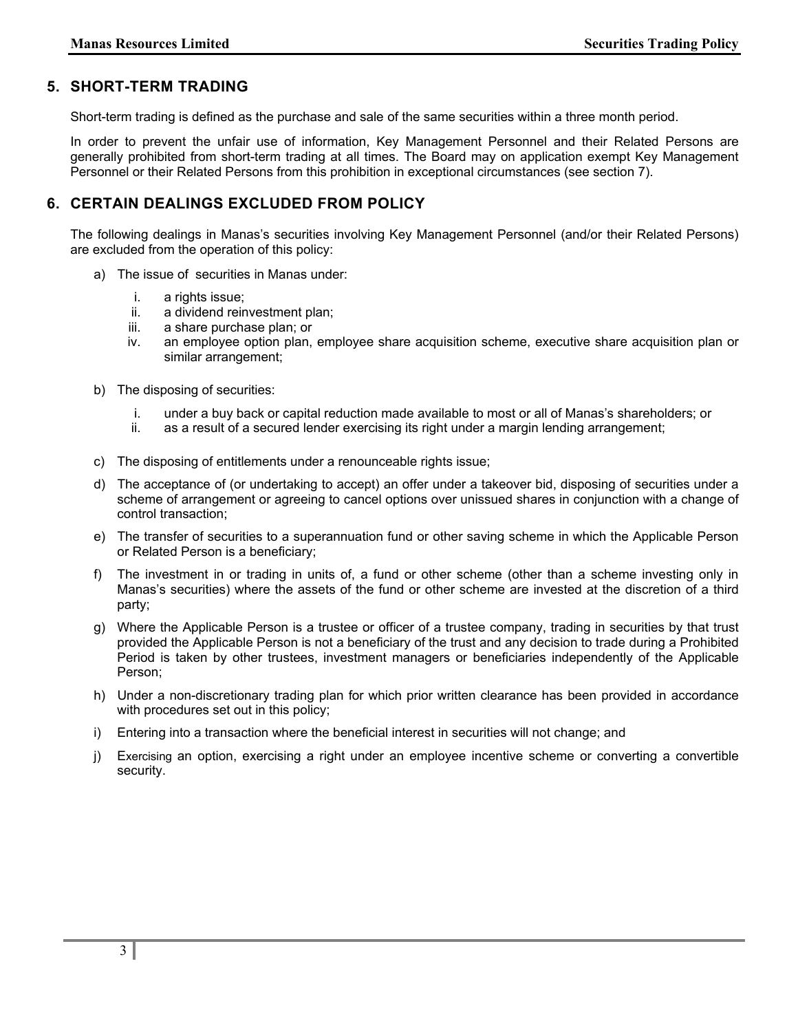# **5. SHORT-TERM TRADING**

Short-term trading is defined as the purchase and sale of the same securities within a three month period.

In order to prevent the unfair use of information, Key Management Personnel and their Related Persons are generally prohibited from short-term trading at all times. The Board may on application exempt Key Management Personnel or their Related Persons from this prohibition in exceptional circumstances (see section 7).

# **6. CERTAIN DEALINGS EXCLUDED FROM POLICY**

The following dealings in Manas's securities involving Key Management Personnel (and/or their Related Persons) are excluded from the operation of this policy:

- a) The issue of securities in Manas under:
	- i. a rights issue;
	- ii. a dividend reinvestment plan;
	- iii. a share purchase plan; or
	- iv. an employee option plan, employee share acquisition scheme, executive share acquisition plan or similar arrangement;
- b) The disposing of securities:
	- i. under a buy back or capital reduction made available to most or all of Manas's shareholders; or
	- ii. as a result of a secured lender exercising its right under a margin lending arrangement;
- c) The disposing of entitlements under a renounceable rights issue;
- d) The acceptance of (or undertaking to accept) an offer under a takeover bid, disposing of securities under a scheme of arrangement or agreeing to cancel options over unissued shares in conjunction with a change of control transaction;
- e) The transfer of securities to a superannuation fund or other saving scheme in which the Applicable Person or Related Person is a beneficiary;
- f) The investment in or trading in units of, a fund or other scheme (other than a scheme investing only in Manas's securities) where the assets of the fund or other scheme are invested at the discretion of a third party;
- g) Where the Applicable Person is a trustee or officer of a trustee company, trading in securities by that trust provided the Applicable Person is not a beneficiary of the trust and any decision to trade during a Prohibited Period is taken by other trustees, investment managers or beneficiaries independently of the Applicable Person;
- h) Under a non-discretionary trading plan for which prior written clearance has been provided in accordance with procedures set out in this policy;
- i) Entering into a transaction where the beneficial interest in securities will not change; and
- j) Exercising an option, exercising a right under an employee incentive scheme or converting a convertible security.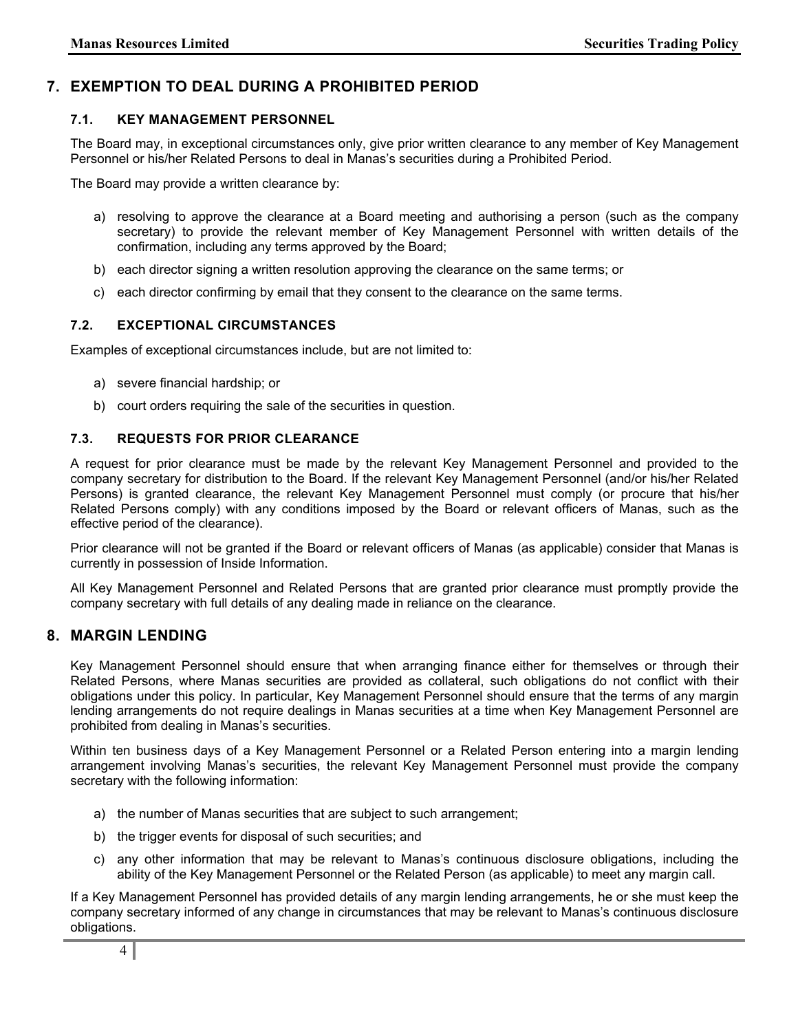# **7. EXEMPTION TO DEAL DURING A PROHIBITED PERIOD**

### **7.1. KEY MANAGEMENT PERSONNEL**

The Board may, in exceptional circumstances only, give prior written clearance to any member of Key Management Personnel or his/her Related Persons to deal in Manas's securities during a Prohibited Period.

The Board may provide a written clearance by:

- a) resolving to approve the clearance at a Board meeting and authorising a person (such as the company secretary) to provide the relevant member of Key Management Personnel with written details of the confirmation, including any terms approved by the Board;
- b) each director signing a written resolution approving the clearance on the same terms; or
- c) each director confirming by email that they consent to the clearance on the same terms.

#### **7.2. EXCEPTIONAL CIRCUMSTANCES**

Examples of exceptional circumstances include, but are not limited to:

- a) severe financial hardship; or
- b) court orders requiring the sale of the securities in question.

#### **7.3. REQUESTS FOR PRIOR CLEARANCE**

A request for prior clearance must be made by the relevant Key Management Personnel and provided to the company secretary for distribution to the Board. If the relevant Key Management Personnel (and/or his/her Related Persons) is granted clearance, the relevant Key Management Personnel must comply (or procure that his/her Related Persons comply) with any conditions imposed by the Board or relevant officers of Manas, such as the effective period of the clearance).

Prior clearance will not be granted if the Board or relevant officers of Manas (as applicable) consider that Manas is currently in possession of Inside Information.

All Key Management Personnel and Related Persons that are granted prior clearance must promptly provide the company secretary with full details of any dealing made in reliance on the clearance.

# **8. MARGIN LENDING**

Key Management Personnel should ensure that when arranging finance either for themselves or through their Related Persons, where Manas securities are provided as collateral, such obligations do not conflict with their obligations under this policy. In particular, Key Management Personnel should ensure that the terms of any margin lending arrangements do not require dealings in Manas securities at a time when Key Management Personnel are prohibited from dealing in Manas's securities.

Within ten business days of a Key Management Personnel or a Related Person entering into a margin lending arrangement involving Manas's securities, the relevant Key Management Personnel must provide the company secretary with the following information:

- a) the number of Manas securities that are subject to such arrangement;
- b) the trigger events for disposal of such securities; and
- c) any other information that may be relevant to Manas's continuous disclosure obligations, including the ability of the Key Management Personnel or the Related Person (as applicable) to meet any margin call.

If a Key Management Personnel has provided details of any margin lending arrangements, he or she must keep the company secretary informed of any change in circumstances that may be relevant to Manas's continuous disclosure obligations.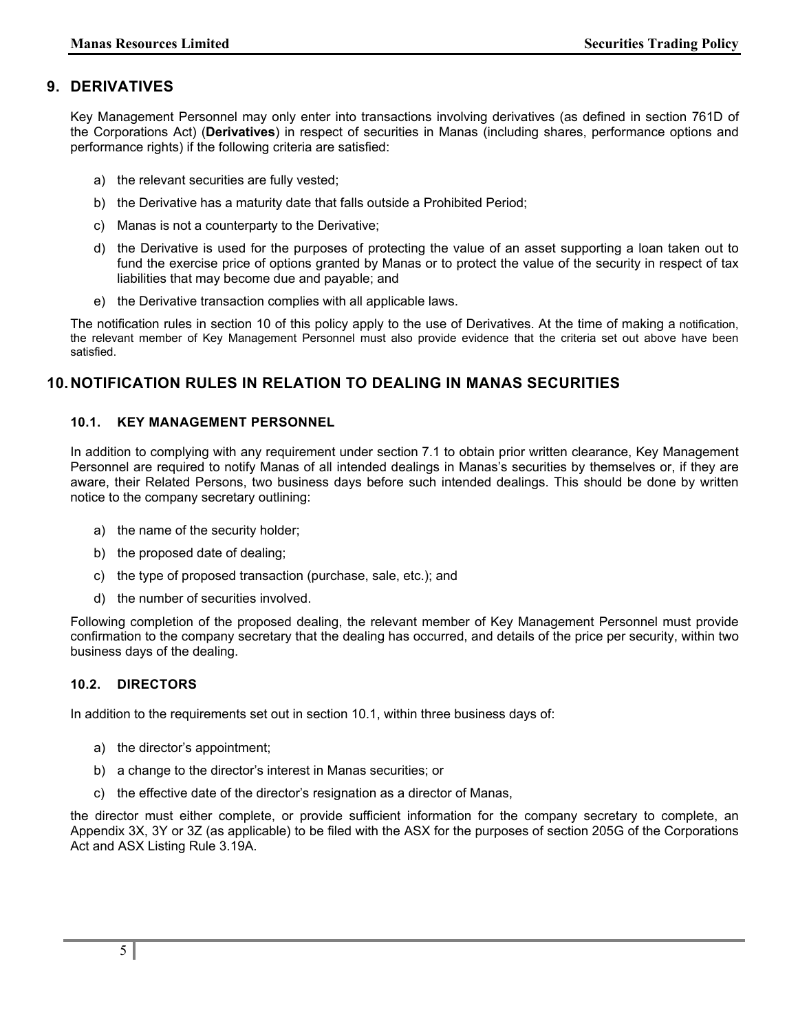# **9. DERIVATIVES**

Key Management Personnel may only enter into transactions involving derivatives (as defined in section 761D of the Corporations Act) (**Derivatives**) in respect of securities in Manas (including shares, performance options and performance rights) if the following criteria are satisfied:

- a) the relevant securities are fully vested;
- b) the Derivative has a maturity date that falls outside a Prohibited Period;
- c) Manas is not a counterparty to the Derivative;
- d) the Derivative is used for the purposes of protecting the value of an asset supporting a loan taken out to fund the exercise price of options granted by Manas or to protect the value of the security in respect of tax liabilities that may become due and payable; and
- e) the Derivative transaction complies with all applicable laws.

The notification rules in section 10 of this policy apply to the use of Derivatives. At the time of making a notification, the relevant member of Key Management Personnel must also provide evidence that the criteria set out above have been satisfied.

# **10. NOTIFICATION RULES IN RELATION TO DEALING IN MANAS SECURITIES**

#### **10.1. KEY MANAGEMENT PERSONNEL**

In addition to complying with any requirement under section 7.1 to obtain prior written clearance, Key Management Personnel are required to notify Manas of all intended dealings in Manas's securities by themselves or, if they are aware, their Related Persons, two business days before such intended dealings. This should be done by written notice to the company secretary outlining:

- a) the name of the security holder;
- b) the proposed date of dealing;
- c) the type of proposed transaction (purchase, sale, etc.); and
- d) the number of securities involved.

Following completion of the proposed dealing, the relevant member of Key Management Personnel must provide confirmation to the company secretary that the dealing has occurred, and details of the price per security, within two business days of the dealing.

#### **10.2. DIRECTORS**

In addition to the requirements set out in section 10.1, within three business days of:

- a) the director's appointment;
- b) a change to the director's interest in Manas securities; or
- c) the effective date of the director's resignation as a director of Manas,

the director must either complete, or provide sufficient information for the company secretary to complete, an Appendix 3X, 3Y or 3Z (as applicable) to be filed with the ASX for the purposes of section 205G of the Corporations Act and ASX Listing Rule 3.19A.